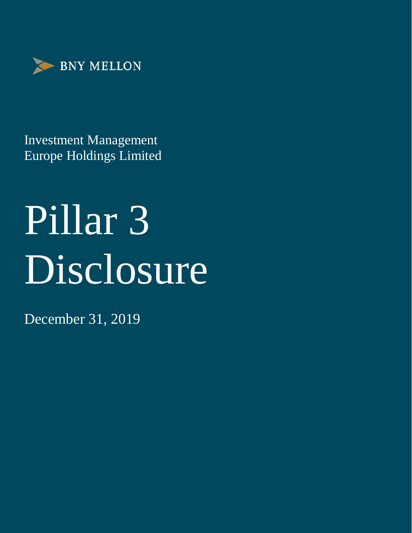

Investment Management Europe Holdings Limited

# Pillar 3 Disclosure

December 31, 2019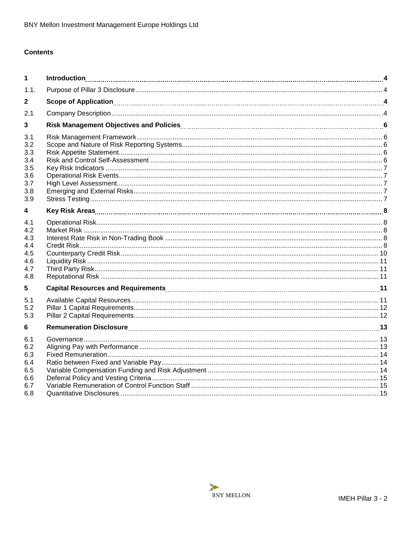# **Contents**

| 1                                      |  |
|----------------------------------------|--|
| 1.1.                                   |  |
| 2                                      |  |
| 2.1                                    |  |
| 3                                      |  |
| 3.1<br>3.2<br>3.3                      |  |
| 3.4<br>3.5<br>3.6                      |  |
| 3.7<br>3.8<br>3.9                      |  |
| 4                                      |  |
| 4.1<br>4.2<br>4.3<br>4.4<br>4.5<br>4.6 |  |
| 4.7<br>4.8                             |  |
| 5                                      |  |
| 5.1<br>5.2<br>5.3                      |  |
| 6                                      |  |
| 6.1<br>6.2<br>6.3                      |  |
| 6.4<br>6.5<br>6.6                      |  |
| 6.7<br>6.8                             |  |

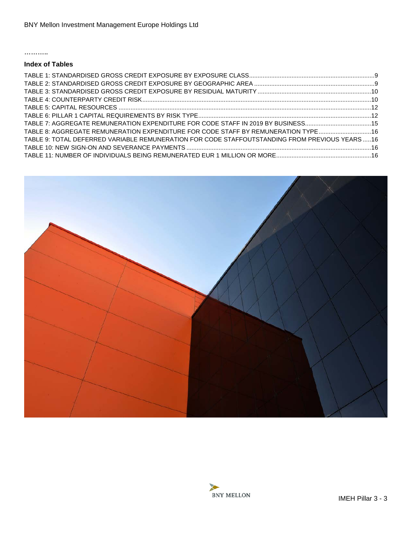**………..**

# **Index of Tables**

| TABLE 7: AGGREGATE REMUNERATION EXPENDITURE FOR CODE STAFF IN 2019 BY BUSINESS15                |  |
|-------------------------------------------------------------------------------------------------|--|
| TABLE 8: AGGREGATE REMUNERATION EXPENDITURE FOR CODE STAFF BY REMUNERATION TYPE16               |  |
| TABLE 9: TOTAL DEFERRED VARIABLE REMUNERATION FOR CODE STAFFOUTSTANDING FROM PREVIOUS YEARS  16 |  |
|                                                                                                 |  |
|                                                                                                 |  |



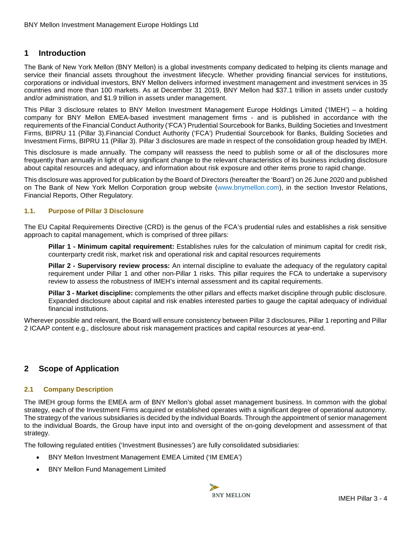# <span id="page-3-0"></span>**1 Introduction**

The Bank of New York Mellon (BNY Mellon) is a global investments company dedicated to helping its clients manage and service their financial assets throughout the investment lifecycle. Whether providing financial services for institutions, corporations or individual investors, BNY Mellon delivers informed investment management and investment services in 35 countries and more than 100 markets. As at December 31 2019, BNY Mellon had \$37.1 trillion in assets under custody and/or administration, and \$1.9 trillion in assets under management.

This Pillar 3 disclosure relates to BNY Mellon Investment Management Europe Holdings Limited ('IMEH') – a holding company for BNY Mellon EMEA-based investment management firms - and is published in accordance with the requirements of the Financial Conduct Authority ('FCA') Prudential Sourcebook for Banks, Building Societies and Investment Firms, BIPRU 11 (Pillar 3).Financial Conduct Authority ('FCA') Prudential Sourcebook for Banks, Building Societies and Investment Firms, BIPRU 11 (Pillar 3). Pillar 3 disclosures are made in respect of the consolidation group headed by IMEH.

This disclosure is made annually. The company will reassess the need to publish some or all of the disclosures more frequently than annually in light of any significant change to the relevant characteristics of its business including disclosure about capital resources and adequacy, and information about risk exposure and other items prone to rapid change.

This disclosure was approved for publication by the Board of Directors (hereafter the 'Board') on 26 June 2020 and published on The Bank of New York Mellon Corporation group website [\(www.bnymellon.com\)](http://www.bnymellon.com/investorrelations/filings/index.html), in the section Investor Relations, Financial Reports, Other Regulatory.

## <span id="page-3-1"></span>**1.1. Purpose of Pillar 3 Disclosure**

The EU Capital Requirements Directive (CRD) is the genus of the FCA's prudential rules and establishes a risk sensitive approach to capital management, which is comprised of three pillars:

**Pillar 1 - Minimum capital requirement:** Establishes rules for the calculation of minimum capital for credit risk, counterparty credit risk, market risk and operational risk and capital resources requirements

**Pillar 2 - Supervisory review process:** An internal discipline to evaluate the adequacy of the regulatory capital requirement under Pillar 1 and other non-Pillar 1 risks. This pillar requires the FCA to undertake a supervisory review to assess the robustness of IMEH's internal assessment and its capital requirements.

**Pillar 3 - Market discipline:** complements the other pillars and effects market discipline through public disclosure. Expanded disclosure about capital and risk enables interested parties to gauge the capital adequacy of individual financial institutions.

Wherever possible and relevant, the Board will ensure consistency between Pillar 3 disclosures, Pillar 1 reporting and Pillar 2 ICAAP content e.g., disclosure about risk management practices and capital resources at year-end.

# <span id="page-3-2"></span>**2 Scope of Application**

## <span id="page-3-3"></span>**2.1 Company Description**

The IMEH group forms the EMEA arm of BNY Mellon's global asset management business. In common with the global strategy, each of the Investment Firms acquired or established operates with a significant degree of operational autonomy. The strategy of the various subsidiaries is decided by the individual Boards. Through the appointment of senior management to the individual Boards, the Group have input into and oversight of the on-going development and assessment of that strategy.

The following regulated entities ('Investment Businesses') are fully consolidated subsidiaries:

- BNY Mellon Investment Management EMEA Limited ('IM EMEA')
- BNY Mellon Fund Management Limited

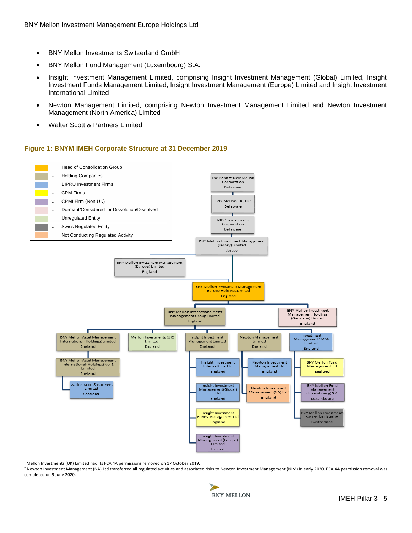- BNY Mellon Investments Switzerland GmbH
- BNY Mellon Fund Management (Luxembourg) S.A.
- Insight Investment Management Limited, comprising Insight Investment Management (Global) Limited, Insight Investment Funds Management Limited, Insight Investment Management (Europe) Limited and Insight Investment International Limited
- Newton Management Limited, comprising Newton Investment Management Limited and Newton Investment Management (North America) Limited
- Walter Scott & Partners Limited

## **Figure 1: BNYM IMEH Corporate Structure at 31 December 2019**



<sup>1</sup> Mellon Investments (UK) Limited had its FCA 4A permissions removed on 17 October 2019.

<sup>2</sup> Newton Investment Management (NA) Ltd transferred all regulated activities and associated risks to Newton Investment Management (NIM) in early 2020. FCA 4A permission removal was completed on 9 June 2020.

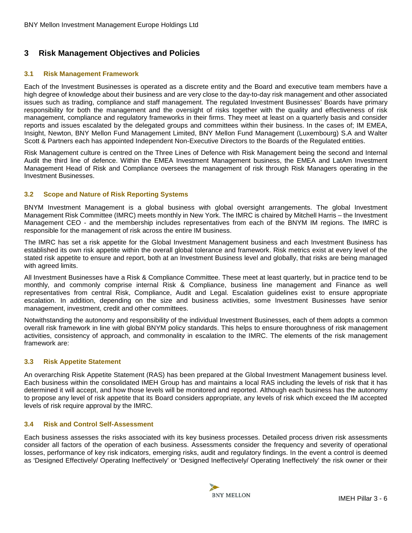# <span id="page-5-0"></span>**3 Risk Management Objectives and Policies**

## <span id="page-5-1"></span>**3.1 Risk Management Framework**

Each of the Investment Businesses is operated as a discrete entity and the Board and executive team members have a high degree of knowledge about their business and are very close to the day-to-day risk management and other associated issues such as trading, compliance and staff management. The regulated Investment Businesses' Boards have primary responsibility for both the management and the oversight of risks together with the quality and effectiveness of risk management, compliance and regulatory frameworks in their firms. They meet at least on a quarterly basis and consider reports and issues escalated by the delegated groups and committees within their business. In the cases of; IM EMEA, Insight, Newton, BNY Mellon Fund Management Limited, BNY Mellon Fund Management (Luxembourg) S.A and Walter Scott & Partners each has appointed Independent Non-Executive Directors to the Boards of the Regulated entities.

Risk Management culture is centred on the Three Lines of Defence with Risk Management being the second and Internal Audit the third line of defence. Within the EMEA Investment Management business, the EMEA and LatAm Investment Management Head of Risk and Compliance oversees the management of risk through Risk Managers operating in the Investment Businesses.

## <span id="page-5-2"></span>**3.2 Scope and Nature of Risk Reporting Systems**

BNYM Investment Management is a global business with global oversight arrangements. The global Investment Management Risk Committee (IMRC) meets monthly in New York. The IMRC is chaired by Mitchell Harris – the Investment Management CEO - and the membership includes representatives from each of the BNYM IM regions. The IMRC is responsible for the management of risk across the entire IM business.

The IMRC has set a risk appetite for the Global Investment Management business and each Investment Business has established its own risk appetite within the overall global tolerance and framework. Risk metrics exist at every level of the stated risk appetite to ensure and report, both at an Investment Business level and globally, that risks are being managed with agreed limits.

All Investment Businesses have a Risk & Compliance Committee. These meet at least quarterly, but in practice tend to be monthly, and commonly comprise internal Risk & Compliance, business line management and Finance as well representatives from central Risk, Compliance, Audit and Legal. Escalation guidelines exist to ensure appropriate escalation. In addition, depending on the size and business activities, some Investment Businesses have senior management, investment, credit and other committees.

Notwithstanding the autonomy and responsibility of the individual Investment Businesses, each of them adopts a common overall risk framework in line with global BNYM policy standards. This helps to ensure thoroughness of risk management activities, consistency of approach, and commonality in escalation to the IMRC. The elements of the risk management framework are:

## <span id="page-5-3"></span>**3.3 Risk Appetite Statement**

An overarching Risk Appetite Statement (RAS) has been prepared at the Global Investment Management business level. Each business within the consolidated IMEH Group has and maintains a local RAS including the levels of risk that it has determined it will accept, and how those levels will be monitored and reported. Although each business has the autonomy to propose any level of risk appetite that its Board considers appropriate, any levels of risk which exceed the IM accepted levels of risk require approval by the IMRC.

## <span id="page-5-4"></span>**3.4 Risk and Control Self-Assessment**

Each business assesses the risks associated with its key business processes. Detailed process driven risk assessments consider all factors of the operation of each business. Assessments consider the frequency and severity of operational losses, performance of key risk indicators, emerging risks, audit and regulatory findings. In the event a control is deemed as 'Designed Effectively/ Operating Ineffectively' or 'Designed Ineffectively/ Operating Ineffectively' the risk owner or their

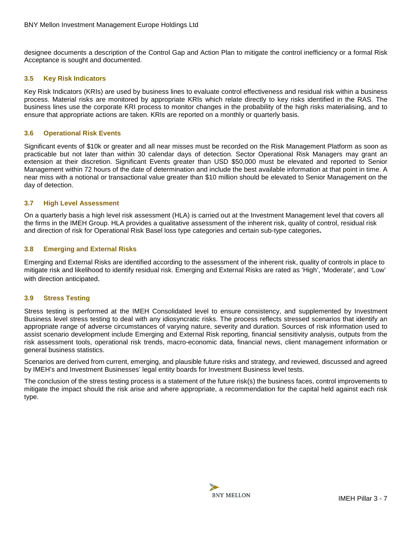designee documents a description of the Control Gap and Action Plan to mitigate the control inefficiency or a formal Risk Acceptance is sought and documented.

## <span id="page-6-0"></span>**3.5 Key Risk Indicators**

Key Risk Indicators (KRIs) are used by business lines to evaluate control effectiveness and residual risk within a business process. Material risks are monitored by appropriate KRIs which relate directly to key risks identified in the RAS. The business lines use the corporate KRI process to monitor changes in the probability of the high risks materialising, and to ensure that appropriate actions are taken. KRIs are reported on a monthly or quarterly basis.

## <span id="page-6-1"></span>**3.6 Operational Risk Events**

Significant events of \$10k or greater and all near misses must be recorded on the Risk Management Platform as soon as practicable but not later than within 30 calendar days of detection. Sector Operational Risk Managers may grant an extension at their discretion. Significant Events greater than USD \$50,000 must be elevated and reported to Senior Management within 72 hours of the date of determination and include the best available information at that point in time. A near miss with a notional or transactional value greater than \$10 million should be elevated to Senior Management on the day of detection.

## <span id="page-6-2"></span>**3.7 High Level Assessment**

On a quarterly basis a high level risk assessment (HLA) is carried out at the Investment Management level that covers all the firms in the IMEH Group. HLA provides a qualitative assessment of the inherent risk, quality of control, residual risk and direction of risk for Operational Risk Basel loss type categories and certain sub-type categories**.**

## <span id="page-6-3"></span>**3.8 Emerging and External Risks**

Emerging and External Risks are identified according to the assessment of the inherent risk, quality of controls in place to mitigate risk and likelihood to identify residual risk. Emerging and External Risks are rated as 'High', 'Moderate', and 'Low' with direction anticipated.

#### <span id="page-6-4"></span>**3.9 Stress Testing**

Stress testing is performed at the IMEH Consolidated level to ensure consistency, and supplemented by Investment Business level stress testing to deal with any idiosyncratic risks. The process reflects stressed scenarios that identify an appropriate range of adverse circumstances of varying nature, severity and duration. Sources of risk information used to assist scenario development include Emerging and External Risk reporting, financial sensitivity analysis, outputs from the risk assessment tools, operational risk trends, macro-economic data, financial news, client management information or general business statistics.

Scenarios are derived from current, emerging, and plausible future risks and strategy, and reviewed, discussed and agreed by IMEH's and Investment Businesses' legal entity boards for Investment Business level tests.

The conclusion of the stress testing process is a statement of the future risk(s) the business faces, control improvements to mitigate the impact should the risk arise and where appropriate, a recommendation for the capital held against each risk type.

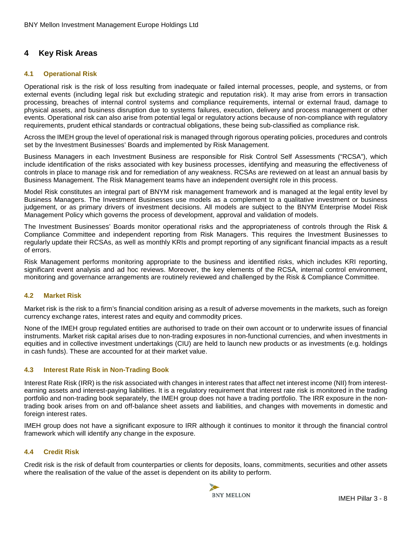# <span id="page-7-0"></span>**4 Key Risk Areas**

## <span id="page-7-1"></span>**4.1 Operational Risk**

Operational risk is the risk of loss resulting from inadequate or failed internal processes, people, and systems, or from external events (including legal risk but excluding strategic and reputation risk). It may arise from errors in transaction processing, breaches of internal control systems and compliance requirements, internal or external fraud, damage to physical assets, and business disruption due to systems failures, execution, delivery and process management or other events. Operational risk can also arise from potential legal or regulatory actions because of non-compliance with regulatory requirements, prudent ethical standards or contractual obligations, these being sub-classified as compliance risk.

Across the IMEH group the level of operational risk is managed through rigorous operating policies, procedures and controls set by the Investment Businesses' Boards and implemented by Risk Management.

Business Managers in each Investment Business are responsible for Risk Control Self Assessments ("RCSA"), which include identification of the risks associated with key business processes, identifying and measuring the effectiveness of controls in place to manage risk and for remediation of any weakness. RCSAs are reviewed on at least an annual basis by Business Management. The Risk Management teams have an independent oversight role in this process.

Model Risk constitutes an integral part of BNYM risk management framework and is managed at the legal entity level by Business Managers. The Investment Businesses use models as a complement to a qualitative investment or business judgement, or as primary drivers of investment decisions. All models are subject to the BNYM Enterprise Model Risk Management Policy which governs the process of development, approval and validation of models.

The Investment Businesses' Boards monitor operational risks and the appropriateness of controls through the Risk & Compliance Committee and independent reporting from Risk Managers. This requires the Investment Businesses to regularly update their RCSAs, as well as monthly KRIs and prompt reporting of any significant financial impacts as a result of errors.

Risk Management performs monitoring appropriate to the business and identified risks, which includes KRI reporting, significant event analysis and ad hoc reviews. Moreover, the key elements of the RCSA, internal control environment, monitoring and governance arrangements are routinely reviewed and challenged by the Risk & Compliance Committee.

## <span id="page-7-2"></span>**4.2 Market Risk**

Market risk is the risk to a firm's financial condition arising as a result of adverse movements in the markets, such as foreign currency exchange rates, interest rates and equity and commodity prices.

None of the IMEH group regulated entities are authorised to trade on their own account or to underwrite issues of financial instruments. Market risk capital arises due to non-trading exposures in non-functional currencies, and when investments in equities and in collective investment undertakings (CIU) are held to launch new products or as investments (e.g. holdings in cash funds). These are accounted for at their market value.

## <span id="page-7-3"></span>**4.3 Interest Rate Risk in Non-Trading Book**

Interest Rate Risk (IRR) is the risk associated with changes in interest rates that affect net interest income (NII) from interestearning assets and interest-paying liabilities. It is a regulatory requirement that interest rate risk is monitored in the trading portfolio and non-trading book separately, the IMEH group does not have a trading portfolio. The IRR exposure in the nontrading book arises from on and off-balance sheet assets and liabilities, and changes with movements in domestic and foreign interest rates.

IMEH group does not have a significant exposure to IRR although it continues to monitor it through the financial control framework which will identify any change in the exposure.

## <span id="page-7-4"></span>**4.4 Credit Risk**

Credit risk is the risk of default from counterparties or clients for deposits, loans, commitments, securities and other assets where the realisation of the value of the asset is dependent on its ability to perform.

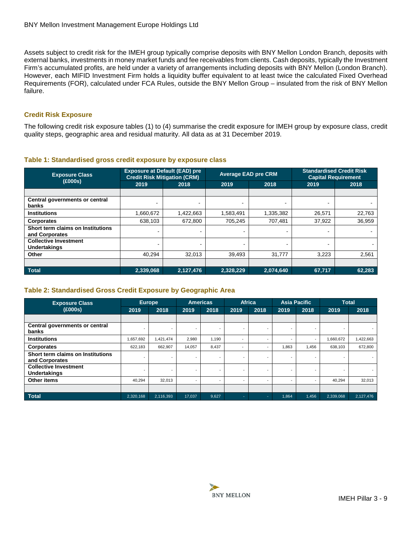Assets subject to credit risk for the IMEH group typically comprise deposits with BNY Mellon London Branch, deposits with external banks, investments in money market funds and fee receivables from clients. Cash deposits, typically the Investment Firm's accumulated profits, are held under a variety of arrangements including deposits with BNY Mellon (London Branch). However, each MIFID Investment Firm holds a liquidity buffer equivalent to at least twice the calculated Fixed Overhead Requirements (FOR), calculated under FCA Rules, outside the BNY Mellon Group – insulated from the risk of BNY Mellon failure.

## **Credit Risk Exposure**

<span id="page-8-0"></span>The following credit risk exposure tables (1) to (4) summarise the credit exposure for IMEH group by exposure class, credit quality steps, geographic area and residual maturity. All data as at 31 December 2019.

| <b>Exposure Class</b>                               | <b>Exposure at Default (EAD) pre</b><br><b>Credit Risk Mitigation (CRM)</b> |           | <b>Average EAD pre CRM</b> |           | <b>Standardised Credit Risk</b><br><b>Capital Requirement</b> |        |
|-----------------------------------------------------|-----------------------------------------------------------------------------|-----------|----------------------------|-----------|---------------------------------------------------------------|--------|
| (£000s)                                             | 2019                                                                        | 2018      | 2019                       | 2018      | 2019                                                          | 2018   |
|                                                     |                                                                             |           |                            |           |                                                               |        |
| Central governments or central<br>banks             | -                                                                           | ۰         |                            |           | -                                                             |        |
| <b>Institutions</b>                                 | 1,660,672                                                                   | 1,422,663 | 1,583,491                  | 1,335,382 | 26,571                                                        | 22.763 |
| Corporates                                          | 638.103                                                                     | 672.800   | 705.245                    | 707,481   | 37,922                                                        | 36,959 |
| Short term claims on Institutions<br>and Corporates | ۰                                                                           |           |                            |           | $\overline{\phantom{0}}$                                      |        |
| <b>Collective Investment</b><br><b>Undertakings</b> | -                                                                           |           |                            |           | -                                                             |        |
| Other                                               | 40.294                                                                      | 32,013    | 39,493                     | 31,777    | 3,223                                                         | 2,561  |
|                                                     |                                                                             |           |                            |           |                                                               |        |
| <b>Total</b>                                        | 2,339,068                                                                   | 2,127,476 | 2,328,229                  | 2,074,640 | 67,717                                                        | 62,283 |

## **Table 1: Standardised gross credit exposure by exposure class**

## <span id="page-8-1"></span>**Table 2: Standardised Gross Credit Exposure by Geographic Area**

| <b>Exposure Class</b>                               |                          | <b>Europe</b>            |                          | <b>Americas</b>          |                          | <b>Africa</b>            |                          | <b>Asia Pacific</b>      | <b>Total</b> |           |
|-----------------------------------------------------|--------------------------|--------------------------|--------------------------|--------------------------|--------------------------|--------------------------|--------------------------|--------------------------|--------------|-----------|
| (£000s)                                             | 2019                     | 2018                     | 2019                     | 2018                     | 2019                     | 2018                     | 2019                     | 2018                     | 2019         | 2018      |
|                                                     |                          |                          |                          |                          |                          |                          |                          |                          |              |           |
| Central governments or central<br>banks             | $\overline{\phantom{a}}$ | $\sim$                   | ٠                        | $\overline{\phantom{a}}$ | $\overline{\phantom{a}}$ |                          |                          | $\overline{\phantom{a}}$ |              |           |
| <b>Institutions</b>                                 | 1,657,692                | 1,421,474                | 2,980                    | 1,190                    | $\overline{\phantom{a}}$ |                          |                          | $\overline{\phantom{a}}$ | 1,660,672    | 1,422,663 |
| <b>Corporates</b>                                   | 622,183                  | 662,907                  | 14,057                   | 8,437                    | $\overline{\phantom{a}}$ | $\overline{\phantom{a}}$ | 1,863                    | 1,456                    | 638.103      | 672,800   |
| Short term claims on Institutions<br>and Corporates | $\overline{\phantom{a}}$ | $\overline{\phantom{a}}$ | $\overline{\phantom{a}}$ | $\overline{\phantom{a}}$ | $\overline{\phantom{a}}$ | $\overline{\phantom{a}}$ | $\overline{\phantom{a}}$ | $\overline{\phantom{a}}$ | ٠            |           |
| <b>Collective Investment</b><br>Undertakings        | -                        | $\overline{\phantom{0}}$ | ٠                        | $\overline{\phantom{a}}$ | $\overline{\phantom{a}}$ |                          |                          | -                        |              |           |
| <b>Other items</b>                                  | 40,294                   | 32,013                   | ٠                        | $\overline{\phantom{a}}$ | $\overline{\phantom{a}}$ | $\overline{\phantom{a}}$ |                          | $\overline{\phantom{a}}$ | 40,294       | 32,013    |
|                                                     |                          |                          |                          |                          |                          |                          |                          |                          |              |           |
| <b>Total</b>                                        | 2,320,168                | 2,116,393                | 17,037                   | 9,627                    | ۰.                       | ۰.                       | 1,864                    | 1,456                    | 2,339,068    | 2,127,476 |

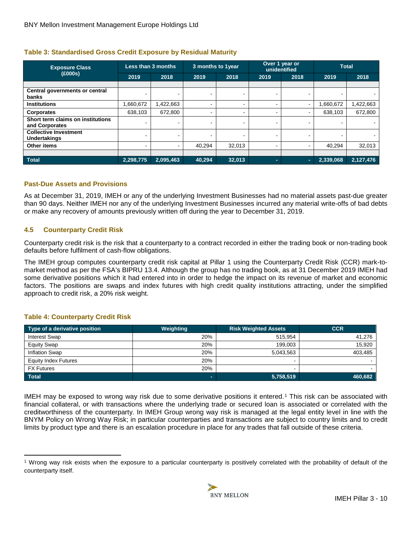<span id="page-9-1"></span>

| <b>Exposure Class</b>                               | Less than 3 months |                | 3 months to 1year |        | Over 1 year or<br>unidentified |      | <b>Total</b> |           |
|-----------------------------------------------------|--------------------|----------------|-------------------|--------|--------------------------------|------|--------------|-----------|
| (£000s)                                             | 2019               | 2018           | 2019              | 2018   | 2019                           | 2018 | 2019         | 2018      |
|                                                     |                    |                |                   |        |                                |      |              |           |
| Central governments or central<br>banks             |                    |                |                   |        |                                |      |              |           |
| <b>Institutions</b>                                 | .660,672           | ,422,663       | -                 |        |                                |      | .660,672     | 1,422,663 |
| <b>Corporates</b>                                   | 638,103            | 672,800        | -                 | -      |                                |      | 638,103      | 672,800   |
| Short term claims on institutions<br>and Corporates |                    | $\blacksquare$ |                   |        |                                |      |              |           |
| <b>Collective Investment</b><br><b>Undertakings</b> |                    |                |                   |        |                                |      |              |           |
| Other items                                         |                    | ۰.             | 40.294            | 32,013 |                                |      | 40.294       | 32,013    |
|                                                     |                    |                |                   |        |                                |      |              |           |
| Total                                               | 2,298,775          | 2,095,463      | 40.294            | 32,013 | н.                             |      | 2,339,068    | 2,127,476 |

## **Past-Due Assets and Provisions**

As at December 31, 2019, IMEH or any of the underlying Investment Businesses had no material assets past-due greater than 90 days. Neither IMEH nor any of the underlying Investment Businesses incurred any material write-offs of bad debts or make any recovery of amounts previously written off during the year to December 31, 2019.

## <span id="page-9-0"></span>**4.5 Counterparty Credit Risk**

Counterparty credit risk is the risk that a counterparty to a contract recorded in either the trading book or non-trading book defaults before fulfilment of cash-flow obligations.

The IMEH group computes counterparty credit risk capital at Pillar 1 using the Counterparty Credit Risk (CCR) mark-tomarket method as per the FSA's BIPRU 13.4. Although the group has no trading book, as at 31 December 2019 IMEH had some derivative positions which it had entered into in order to hedge the impact on its revenue of market and economic factors. The positions are swaps and index futures with high credit quality institutions attracting, under the simplified approach to credit risk, a 20% risk weight.

## <span id="page-9-2"></span>**Table 4: Counterparty Credit Risk**

 $\overline{a}$ 

| Type of a derivative position | Weighting | <b>Risk Weighted Assets</b> | <b>CCR</b> |
|-------------------------------|-----------|-----------------------------|------------|
| <b>Interest Swap</b>          | 20%       | 515.954                     | 41,276     |
| <b>Equity Swap</b>            | 20%       | 199.003                     | 15.920     |
| <b>Inflation Swap</b>         | 20%       | 5,043,563                   | 403,485    |
| <b>Equity Index Futures</b>   | 20%       | $\overline{\phantom{0}}$    |            |
| <b>FX Futures</b>             | 20%       | $\overline{\phantom{0}}$    |            |
| <b>Total</b>                  |           | 5,758,519                   | 460,682    |

IMEH may be exposed to wrong way risk due to some derivative positions it entered.[1](#page-9-3) This risk can be associated with financial collateral, or with transactions where the underlying trade or secured loan is associated or correlated with the creditworthiness of the counterparty. In IMEH Group wrong way risk is managed at the legal entity level in line with the BNYM Policy on Wrong Way Risk; in particular counterparties and transactions are subject to country limits and to credit limits by product type and there is an escalation procedure in place for any trades that fall outside of these criteria.

<span id="page-9-3"></span><sup>1</sup> Wrong way risk exists when the exposure to a particular counterparty is positively correlated with the probability of default of the counterparty itself.

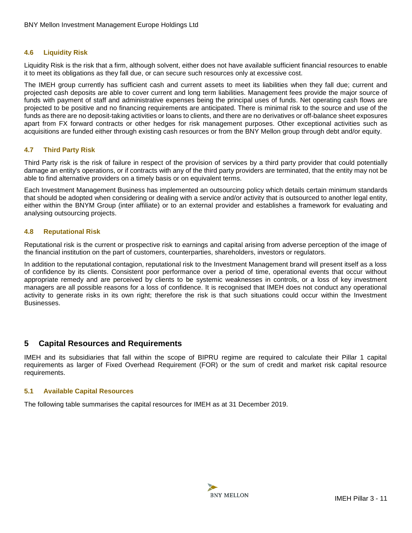## <span id="page-10-0"></span>**4.6 Liquidity Risk**

Liquidity Risk is the risk that a firm, although solvent, either does not have available sufficient financial resources to enable it to meet its obligations as they fall due, or can secure such resources only at excessive cost.

The IMEH group currently has sufficient cash and current assets to meet its liabilities when they fall due; current and projected cash deposits are able to cover current and long term liabilities. Management fees provide the major source of funds with payment of staff and administrative expenses being the principal uses of funds. Net operating cash flows are projected to be positive and no financing requirements are anticipated. There is minimal risk to the source and use of the funds as there are no deposit-taking activities or loans to clients, and there are no derivatives or off-balance sheet exposures apart from FX forward contracts or other hedges for risk management purposes. Other exceptional activities such as acquisitions are funded either through existing cash resources or from the BNY Mellon group through debt and/or equity.

## <span id="page-10-1"></span>**4.7 Third Party Risk**

Third Party risk is the risk of failure in respect of the provision of services by a third party provider that could potentially damage an entity's operations, or if contracts with any of the third party providers are terminated, that the entity may not be able to find alternative providers on a timely basis or on equivalent terms.

Each Investment Management Business has implemented an outsourcing policy which details certain minimum standards that should be adopted when considering or dealing with a service and/or activity that is outsourced to another legal entity, either within the BNYM Group (inter affiliate) or to an external provider and establishes a framework for evaluating and analysing outsourcing projects.

## <span id="page-10-2"></span>**4.8 Reputational Risk**

Reputational risk is the current or prospective risk to earnings and capital arising from adverse perception of the image of the financial institution on the part of customers, counterparties, shareholders, investors or regulators.

In addition to the reputational contagion, reputational risk to the Investment Management brand will present itself as a loss of confidence by its clients. Consistent poor performance over a period of time, operational events that occur without appropriate remedy and are perceived by clients to be systemic weaknesses in controls, or a loss of key investment managers are all possible reasons for a loss of confidence. It is recognised that IMEH does not conduct any operational activity to generate risks in its own right; therefore the risk is that such situations could occur within the Investment Businesses.

## <span id="page-10-3"></span>**5 Capital Resources and Requirements**

IMEH and its subsidiaries that fall within the scope of BIPRU regime are required to calculate their Pillar 1 capital requirements as larger of Fixed Overhead Requirement (FOR) or the sum of credit and market risk capital resource requirements.

## <span id="page-10-4"></span>**5.1 Available Capital Resources**

The following table summarises the capital resources for IMEH as at 31 December 2019.

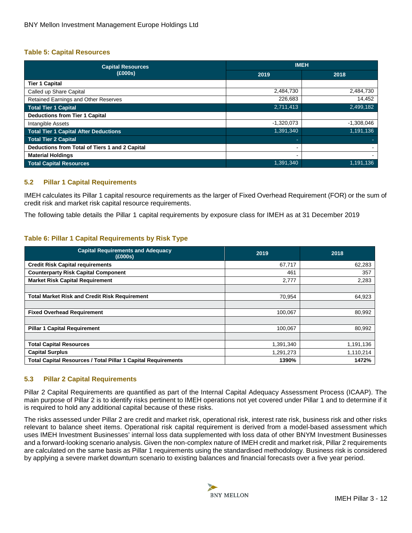## <span id="page-11-2"></span>**Table 5: Capital Resources**

| <b>Capital Resources</b>                       | <b>IMEH</b>              |              |  |  |
|------------------------------------------------|--------------------------|--------------|--|--|
| (£000s)                                        | 2019                     | 2018         |  |  |
| <b>Tier 1 Capital</b>                          |                          |              |  |  |
| Called up Share Capital                        | 2,484,730                | 2,484,730    |  |  |
| <b>Retained Earnings and Other Reserves</b>    | 226,683                  | 14,452       |  |  |
| <b>Total Tier 1 Capital</b>                    | 2,711,413                | 2,499,182    |  |  |
| <b>Deductions from Tier 1 Capital</b>          |                          |              |  |  |
| <b>Intangible Assets</b>                       | $-1,320,073$             | $-1,308,046$ |  |  |
| <b>Total Tier 1 Capital After Deductions</b>   | 1,391,340                | 1,191,136    |  |  |
| <b>Total Tier 2 Capital</b>                    | <b>.</b>                 |              |  |  |
| Deductions from Total of Tiers 1 and 2 Capital |                          |              |  |  |
| <b>Material Holdings</b>                       | $\overline{\phantom{0}}$ |              |  |  |
| <b>Total Capital Resources</b>                 | 1,391,340                | 1.191.136    |  |  |

## <span id="page-11-0"></span>**5.2 Pillar 1 Capital Requirements**

IMEH calculates its Pillar 1 capital resource requirements as the larger of Fixed Overhead Requirement (FOR) or the sum of credit risk and market risk capital resource requirements.

<span id="page-11-3"></span>The following table details the Pillar 1 capital requirements by exposure class for IMEH as at 31 December 2019

## **Table 6: Pillar 1 Capital Requirements by Risk Type**

| <b>Capital Requirements and Adequacy</b><br>(£000s)                  | 2019      | 2018      |
|----------------------------------------------------------------------|-----------|-----------|
| <b>Credit Risk Capital requirements</b>                              | 67,717    | 62,283    |
| <b>Counterparty Risk Capital Component</b>                           | 461       | 357       |
| <b>Market Risk Capital Requirement</b>                               | 2,777     | 2,283     |
|                                                                      |           |           |
| <b>Total Market Risk and Credit Risk Requirement</b>                 | 70,954    | 64,923    |
|                                                                      |           |           |
| <b>Fixed Overhead Requirement</b>                                    | 100,067   | 80,992    |
|                                                                      |           |           |
| <b>Pillar 1 Capital Requirement</b>                                  | 100,067   | 80,992    |
|                                                                      |           |           |
| <b>Total Capital Resources</b>                                       | 1,391,340 | 1,191,136 |
| <b>Capital Surplus</b>                                               | 1,291,273 | 1,110,214 |
| <b>Total Capital Resources / Total Pillar 1 Capital Requirements</b> | 1390%     | 1472%     |

## <span id="page-11-1"></span>**5.3 Pillar 2 Capital Requirements**

Pillar 2 Capital Requirements are quantified as part of the Internal Capital Adequacy Assessment Process (ICAAP). The main purpose of Pillar 2 is to identify risks pertinent to IMEH operations not yet covered under Pillar 1 and to determine if it is required to hold any additional capital because of these risks.

The risks assessed under Pillar 2 are credit and market risk, operational risk, interest rate risk, business risk and other risks relevant to balance sheet items. Operational risk capital requirement is derived from a model-based assessment which uses IMEH Investment Businesses' internal loss data supplemented with loss data of other BNYM Investment Businesses and a forward-looking scenario analysis. Given the non-complex nature of IMEH credit and market risk, Pillar 2 requirements are calculated on the same basis as Pillar 1 requirements using the standardised methodology. Business risk is considered by applying a severe market downturn scenario to existing balances and financial forecasts over a five year period.

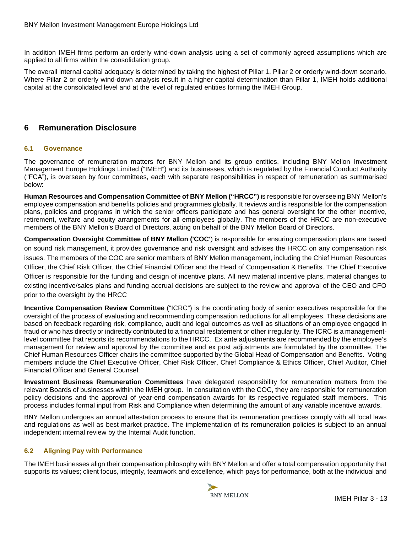In addition IMEH firms perform an orderly wind-down analysis using a set of commonly agreed assumptions which are applied to all firms within the consolidation group.

The overall internal capital adequacy is determined by taking the highest of Pillar 1, Pillar 2 or orderly wind-down scenario. Where Pillar 2 or orderly wind-down analysis result in a higher capital determination than Pillar 1, IMEH holds additional capital at the consolidated level and at the level of regulated entities forming the IMEH Group.

# <span id="page-12-0"></span>**6 Remuneration Disclosure**

## <span id="page-12-1"></span>**6.1 Governance**

The governance of remuneration matters for BNY Mellon and its group entities, including BNY Mellon Investment Management Europe Holdings Limited ("IMEH") and its businesses, which is regulated by the Financial Conduct Authority ("FCA"), is overseen by four committees, each with separate responsibilities in respect of remuneration as summarised below:

**Human Resources and Compensation Committee of BNY Mellon ("HRCC")** is responsible for overseeing BNY Mellon's employee compensation and benefits policies and programmes globally. It reviews and is responsible for the compensation plans, policies and programs in which the senior officers participate and has general oversight for the other incentive, retirement, welfare and equity arrangements for all employees globally. The members of the HRCC are non-executive members of the BNY Mellon's Board of Directors, acting on behalf of the BNY Mellon Board of Directors.

**Compensation Oversight Committee of BNY Mellon ('COC'**) is responsible for ensuring compensation plans are based on sound risk management, it provides governance and risk oversight and advises the HRCC on any compensation risk issues. The members of the COC are senior members of BNY Mellon management, including the Chief Human Resources Officer, the Chief Risk Officer, the Chief Financial Officer and the Head of Compensation & Benefits. The Chief Executive Officer is responsible for the funding and design of incentive plans. All new material incentive plans, material changes to existing incentive/sales plans and funding accrual decisions are subject to the review and approval of the CEO and CFO prior to the oversight by the HRCC

**Incentive Compensation Review Committee** ("ICRC") is the coordinating body of senior executives responsible for the oversight of the process of evaluating and recommending compensation reductions for all employees. These decisions are based on feedback regarding risk, compliance, audit and legal outcomes as well as situations of an employee engaged in fraud or who has directly or indirectly contributed to a financial restatement or other irregularity. The ICRC is a managementlevel committee that reports its recommendations to the HRCC. Ex ante adjustments are recommended by the employee's management for review and approval by the committee and ex post adjustments are formulated by the committee. The Chief Human Resources Officer chairs the committee supported by the Global Head of Compensation and Benefits. Voting members include the Chief Executive Officer, Chief Risk Officer, Chief Compliance & Ethics Officer, Chief Auditor, Chief Financial Officer and General Counsel.

**Investment Business Remuneration Committees** have delegated responsibility for remuneration matters from the relevant Boards of businesses within the IMEH group. In consultation with the COC, they are responsible for remuneration policy decisions and the approval of year-end compensation awards for its respective regulated staff members. This process includes formal input from Risk and Compliance when determining the amount of any variable incentive awards.

BNY Mellon undergoes an annual attestation process to ensure that its remuneration practices comply with all local laws and regulations as well as best market practice. The implementation of its remuneration policies is subject to an annual independent internal review by the Internal Audit function.

## <span id="page-12-2"></span>**6.2 Aligning Pay with Performance**

The IMEH businesses align their compensation philosophy with BNY Mellon and offer a total compensation opportunity that supports its values; client focus, integrity, teamwork and excellence, which pays for performance, both at the individual and

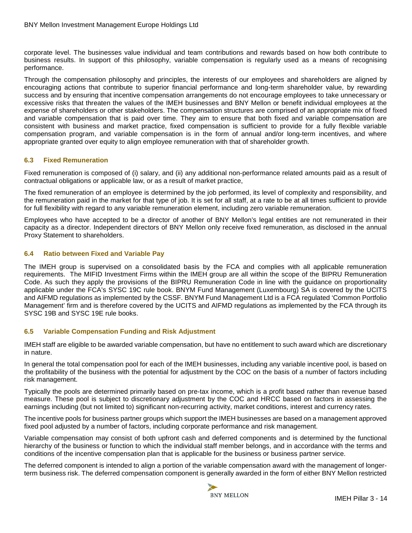corporate level. The businesses value individual and team contributions and rewards based on how both contribute to business results. In support of this philosophy, variable compensation is regularly used as a means of recognising performance.

Through the compensation philosophy and principles, the interests of our employees and shareholders are aligned by encouraging actions that contribute to superior financial performance and long-term shareholder value, by rewarding success and by ensuring that incentive compensation arrangements do not encourage employees to take unnecessary or excessive risks that threaten the values of the IMEH businesses and BNY Mellon or benefit individual employees at the expense of shareholders or other stakeholders. The compensation structures are comprised of an appropriate mix of fixed and variable compensation that is paid over time. They aim to ensure that both fixed and variable compensation are consistent with business and market practice, fixed compensation is sufficient to provide for a fully flexible variable compensation program, and variable compensation is in the form of annual and/or long-term incentives, and where appropriate granted over equity to align employee remuneration with that of shareholder growth.

## <span id="page-13-0"></span>**6.3 Fixed Remuneration**

Fixed remuneration is composed of (i) salary, and (ii) any additional non-performance related amounts paid as a result of contractual obligations or applicable law, or as a result of market practice,

The fixed remuneration of an employee is determined by the job performed, its level of complexity and responsibility, and the remuneration paid in the market for that type of job. It is set for all staff, at a rate to be at all times sufficient to provide for full flexibility with regard to any variable remuneration element, including zero variable remuneration.

Employees who have accepted to be a director of another of BNY Mellon's legal entities are not remunerated in their capacity as a director. Independent directors of BNY Mellon only receive fixed remuneration, as disclosed in the annual Proxy Statement to shareholders.

## <span id="page-13-1"></span>**6.4 Ratio between Fixed and Variable Pay**

The IMEH group is supervised on a consolidated basis by the FCA and complies with all applicable remuneration requirements. The MIFID Investment Firms within the IMEH group are all within the scope of the BIPRU Remuneration Code. As such they apply the provisions of the BIPRU Remuneration Code in line with the guidance on proportionality applicable under the FCA's SYSC 19C rule book. BNYM Fund Management (Luxembourg) SA is covered by the UCITS and AIFMD regulations as implemented by the CSSF. BNYM Fund Management Ltd is a FCA regulated 'Common Portfolio Management' firm and is therefore covered by the UCITS and AIFMD regulations as implemented by the FCA through its SYSC 19B and SYSC 19E rule books.

## <span id="page-13-2"></span>**6.5 Variable Compensation Funding and Risk Adjustment**

IMEH staff are eligible to be awarded variable compensation, but have no entitlement to such award which are discretionary in nature.

In general the total compensation pool for each of the IMEH businesses, including any variable incentive pool, is based on the profitability of the business with the potential for adjustment by the COC on the basis of a number of factors including risk management.

Typically the pools are determined primarily based on pre-tax income, which is a profit based rather than revenue based measure. These pool is subject to discretionary adjustment by the COC and HRCC based on factors in assessing the earnings including (but not limited to) significant non-recurring activity, market conditions, interest and currency rates.

The incentive pools for business partner groups which support the IMEH businesses are based on a management approved fixed pool adjusted by a number of factors, including corporate performance and risk management.

Variable compensation may consist of both upfront cash and deferred components and is determined by the functional hierarchy of the business or function to which the individual staff member belongs, and in accordance with the terms and conditions of the incentive compensation plan that is applicable for the business or business partner service.

The deferred component is intended to align a portion of the variable compensation award with the management of longerterm business risk. The deferred compensation component is generally awarded in the form of either BNY Mellon restricted

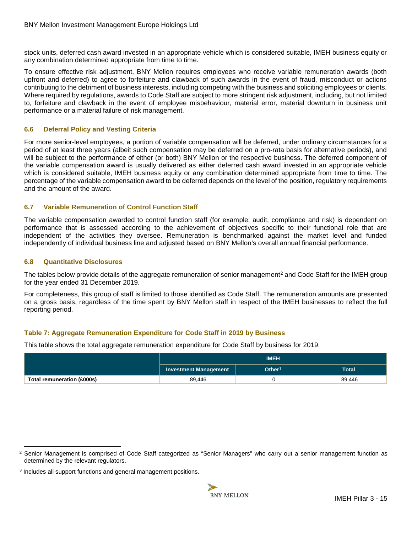stock units, deferred cash award invested in an appropriate vehicle which is considered suitable, IMEH business equity or any combination determined appropriate from time to time.

To ensure effective risk adjustment, BNY Mellon requires employees who receive variable remuneration awards (both upfront and deferred) to agree to forfeiture and clawback of such awards in the event of fraud, misconduct or actions contributing to the detriment of business interests, including competing with the business and soliciting employees or clients. Where required by regulations, awards to Code Staff are subject to more stringent risk adjustment, including, but not limited to, forfeiture and clawback in the event of employee misbehaviour, material error, material downturn in business unit performance or a material failure of risk management.

## <span id="page-14-0"></span>**6.6 Deferral Policy and Vesting Criteria**

For more senior-level employees, a portion of variable compensation will be deferred, under ordinary circumstances for a period of at least three years (albeit such compensation may be deferred on a pro-rata basis for alternative periods), and will be subject to the performance of either (or both) BNY Mellon or the respective business. The deferred component of the variable compensation award is usually delivered as either deferred cash award invested in an appropriate vehicle which is considered suitable, IMEH business equity or any combination determined appropriate from time to time. The percentage of the variable compensation award to be deferred depends on the level of the position, regulatory requirements and the amount of the award.

## <span id="page-14-1"></span>**6.7 Variable Remuneration of Control Function Staff**

The variable compensation awarded to control function staff (for example; audit, compliance and risk) is dependent on performance that is assessed according to the achievement of objectives specific to their functional role that are independent of the activities they oversee. Remuneration is benchmarked against the market level and funded independently of individual business line and adjusted based on BNY Mellon's overall annual financial performance.

## <span id="page-14-2"></span>**6.8 Quantitative Disclosures**

The tables below provide details of the aggregate remuneration of senior management<sup>[2](#page-14-5)</sup> and Code Staff for the IMEH group for the year ended 31 December 2019.

For completeness, this group of staff is limited to those identified as Code Staff. The remuneration amounts are presented on a gross basis, regardless of the time spent by BNY Mellon staff in respect of the IMEH businesses to reflect the full reporting period.

## <span id="page-14-3"></span>**Table 7: Aggregate Remuneration Expenditure for Code Staff in 2019 by Business**

This table shows the total aggregate remuneration expenditure for Code Staff by business for 2019.

<span id="page-14-4"></span>

|                            | <b>IMEH</b>                                        |  |        |  |  |  |
|----------------------------|----------------------------------------------------|--|--------|--|--|--|
|                            | Other $3$<br>Total<br><b>Investment Management</b> |  |        |  |  |  |
| Total remuneration (£000s) | 89,446                                             |  | 89,446 |  |  |  |

<span id="page-14-5"></span> $\overline{a}$ <sup>2</sup> Senior Management is comprised of Code Staff categorized as "Senior Managers" who carry out a senior management function as determined by the relevant regulators.

<span id="page-14-6"></span><sup>3</sup> Includes all support functions and general management positions.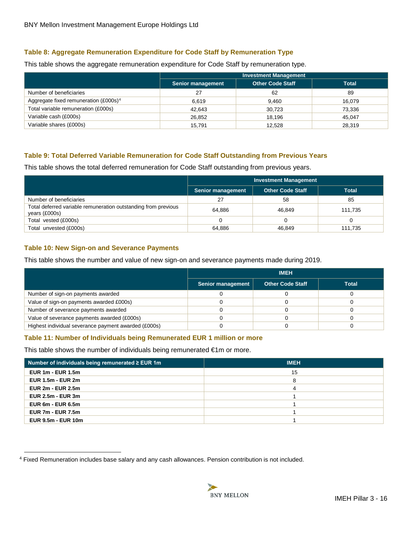## **Table 8: Aggregate Remuneration Expenditure for Code Staff by Remuneration Type**

This table shows the aggregate remuneration expenditure for Code Staff by remuneration type.

|                                                       | <b>Investment Management</b> |                         |              |  |  |
|-------------------------------------------------------|------------------------------|-------------------------|--------------|--|--|
|                                                       | <b>Senior management</b>     | <b>Other Code Staff</b> | <b>Total</b> |  |  |
| Number of beneficiaries                               | 27                           | 62                      | 89           |  |  |
| Aggregate fixed remuneration $(\text{\pounds}000s)^4$ | 6.619                        | 9.460                   | 16.079       |  |  |
| Total variable remuneration (£000s)                   | 42,643                       | 30,723                  | 73,336       |  |  |
| Variable cash (£000s)                                 | 26,852                       | 18,196                  | 45,047       |  |  |
| Variable shares (£000s)                               | 15.791                       | 12.528                  | 28,319       |  |  |

## <span id="page-15-0"></span>**Table 9: Total Deferred Variable Remuneration for Code Staff Outstanding from Previous Years**

This table shows the total deferred remuneration for Code Staff outstanding from previous years.

|                                                                                   | <b>Investment Management</b> |                         |              |  |  |
|-----------------------------------------------------------------------------------|------------------------------|-------------------------|--------------|--|--|
|                                                                                   | <b>Senior management</b>     | <b>Other Code Staff</b> | <b>Total</b> |  |  |
| Number of beneficiaries                                                           | 27                           | 58                      | 85           |  |  |
| Total deferred variable remuneration outstanding from previous<br>years $(£000s)$ | 64.886                       | 46.849                  | 111.735      |  |  |
| Total vested (£000s)                                                              |                              |                         |              |  |  |
| Total unvested (£000s)                                                            | 64,886                       | 46.849                  | 111.735      |  |  |

## <span id="page-15-1"></span>**Table 10: New Sign-on and Severance Payments**

 $\overline{a}$ 

This table shows the number and value of new sign-on and severance payments made during 2019.

|                                                      | <b>IMEH</b>              |                         |              |
|------------------------------------------------------|--------------------------|-------------------------|--------------|
|                                                      | <b>Senior management</b> | <b>Other Code Staff</b> | <b>Total</b> |
| Number of sign-on payments awarded                   |                          |                         |              |
| Value of sign-on payments awarded £000s)             |                          |                         |              |
| Number of severance payments awarded                 |                          |                         |              |
| Value of severance payments awarded (£000s)          |                          |                         |              |
| Highest individual severance payment awarded (£000s) |                          |                         |              |

## <span id="page-15-2"></span>**Table 11: Number of Individuals being Remunerated EUR 1 million or more**

This table shows the number of individuals being remunerated €1m or more.

| Number of individuals being remunerated $\geq$ EUR 1m | <b>IMEH</b> |
|-------------------------------------------------------|-------------|
| <b>EUR 1m - EUR 1.5m</b>                              | 15          |
| <b>EUR 1.5m - EUR 2m</b>                              | 8           |
| <b>EUR 2m - EUR 2.5m</b>                              |             |
| <b>EUR 2.5m - EUR 3m</b>                              |             |
| EUR $6m$ - EUR $6.5m$                                 |             |
| <b>EUR 7m - EUR 7.5m</b>                              |             |
| <b>EUR 9.5m - EUR 10m</b>                             |             |

<span id="page-15-3"></span><sup>4</sup> Fixed Remuneration includes base salary and any cash allowances. Pension contribution is not included.